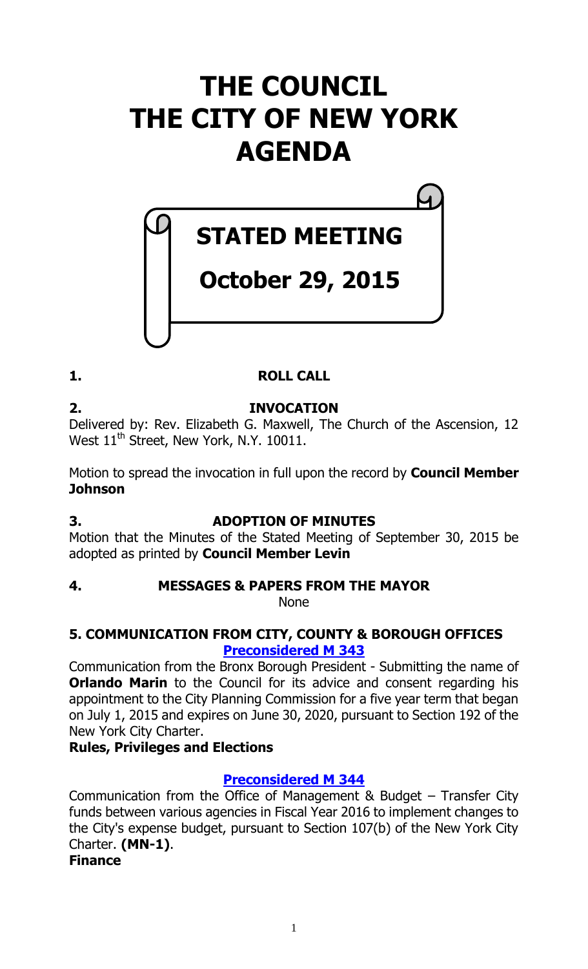# **THE COUNCIL THE CITY OF NEW YORK AGENDA**

**STATED MEETING**

**October 29, 2015**

# **1. ROLL CALL**

# **2. INVOCATION**

Delivered by: Rev. Elizabeth G. Maxwell, The Church of the Ascension, 12 West  $11<sup>th</sup>$  Street, New York, N.Y. 10011.

Motion to spread the invocation in full upon the record by **Council Member Johnson** 

# **3. ADOPTION OF MINUTES**

Motion that the Minutes of the Stated Meeting of September 30, 2015 be adopted as printed by **Council Member Levin**

# **4. MESSAGES & PAPERS FROM THE MAYOR**

None

# **5. COMMUNICATION FROM CITY, COUNTY & BOROUGH OFFICES [Preconsidered M 343](http://legistar.council.nyc.gov/LegislationDetail.aspx?ID=2499615&GUID=2BE086D9-DD69-4ADA-861C-1D3FA6896C6F&Options=ID|&Search=)**

Communication from the Bronx Borough President - Submitting the name of **Orlando Marin** to the Council for its advice and consent regarding his appointment to the City Planning Commission for a five year term that began on July 1, 2015 and expires on June 30, 2020, pursuant to Section 192 of the New York City Charter.

# **Rules, Privileges and Elections**

# **[Preconsidered M](http://legistar.council.nyc.gov/LegislationDetail.aspx?ID=2503839&GUID=03691933-B0A5-4FF5-894B-3BAEBD329231&Options=ID%7c&Search=) 344**

Communication from the Office of Management & Budget – Transfer City funds between various agencies in Fiscal Year 2016 to implement changes to the City's expense budget, pursuant to Section 107(b) of the New York City Charter. **(MN-1)**.

# **Finance**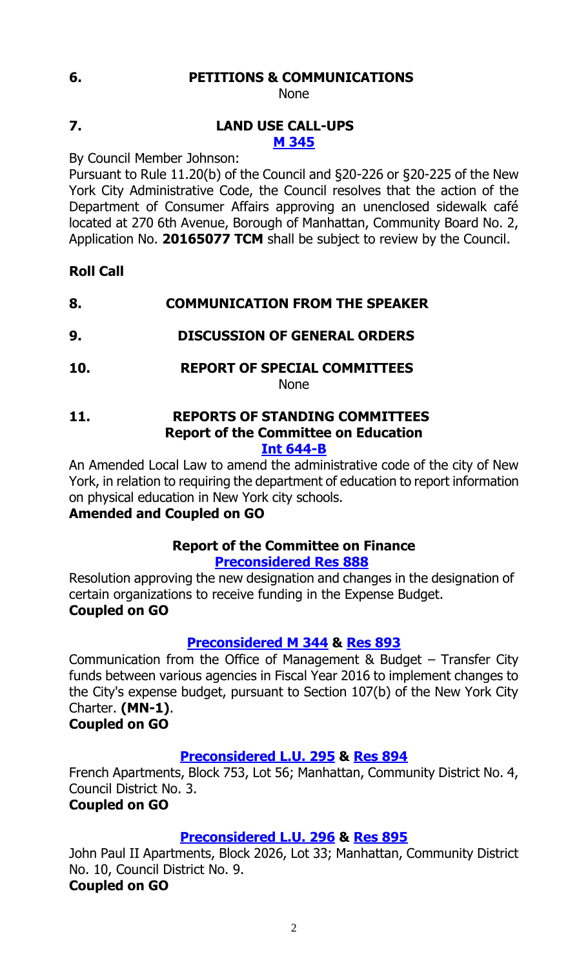# **6. PETITIONS & COMMUNICATIONS**

None

# **7. LAND USE CALL-UPS M [345](http://legistar.council.nyc.gov/LegislationDetail.aspx?ID=2505987&GUID=4667AEA5-6824-4779-A6E8-A76230E85E12&Options=ID|&Search=)**

By Council Member Johnson:

Pursuant to Rule 11.20(b) of the Council and §20-226 or §20-225 of the New York City Administrative Code, the Council resolves that the action of the Department of Consumer Affairs approving an unenclosed sidewalk café located at 270 6th Avenue, Borough of Manhattan, Community Board No. 2, Application No. **20165077 TCM** shall be subject to review by the Council.

# **Roll Call**

# **8. COMMUNICATION FROM THE SPEAKER**

- **9. DISCUSSION OF GENERAL ORDERS**
- **10. REPORT OF SPECIAL COMMITTEES**

None

# **11. REPORTS OF STANDING COMMITTEES Report of the Committee on Education**

# **[Int 644-B](http://legistar.council.nyc.gov/LegislationDetail.aspx?ID=2170477&GUID=2682A7A6-EE35-49F7-947A-4DC6FC69B2E2&Options=ID%7cText%7c&Search=0644)**

An Amended Local Law to amend the administrative code of the city of New York, in relation to requiring the department of education to report information on physical education in New York city schools.

# **Amended and Coupled on GO**

# **Report of the Committee on Finance [Preconsidered Res](http://legistar.council.nyc.gov/LegislationDetail.aspx?ID=2501853&GUID=7ABF3059-006C-483B-9A75-A7BAB17E126C&Options=ID%7c&Search=) 888**

Resolution approving the new designation and changes in the designation of certain organizations to receive funding in the Expense Budget. **Coupled on GO**

# **[Preconsidered M](http://legistar.council.nyc.gov/LegislationDetail.aspx?ID=2503839&GUID=03691933-B0A5-4FF5-894B-3BAEBD329231&Options=ID%7c&Search=) 344 & [Res 893](http://legistar.council.nyc.gov/LegislationDetail.aspx?ID=2506178&GUID=DC492558-C333-4948-BB5C-8B012747513E&Options=ID|&Search=)**

Communication from the Office of Management & Budget – Transfer City funds between various agencies in Fiscal Year 2016 to implement changes to the City's expense budget, pursuant to Section 107(b) of the New York City Charter. **(MN-1)**.

# **Coupled on GO**

# **[Preconsidered L.U.](http://legistar.council.nyc.gov/LegislationDetail.aspx?ID=2501854&GUID=109C3ABE-3D11-44C2-B0A1-C278C603EA65&Options=ID|&Search=) 295 & [Res 894](http://legistar.council.nyc.gov/LegislationDetail.aspx?ID=2506173&GUID=7D6C122E-AC64-41BE-A7A8-7429F5F0E25D&Options=ID|&Search=)**

French Apartments, Block 753, Lot 56; Manhattan, Community District No. 4, Council District No. 3.

# **Coupled on GO**

# **[Preconsidered L.U.](http://legistar.council.nyc.gov/LegislationDetail.aspx?ID=2501855&GUID=DEE17A7E-4CD6-4990-9239-10A33F45A356&Options=ID|&Search=) 296 & [Res 895](http://legistar.council.nyc.gov/LegislationDetail.aspx?ID=2506174&GUID=C8BE521B-3459-4A06-A3F3-64E594C365F4&Options=ID|&Search=)**

John Paul II Apartments, Block 2026, Lot 33; Manhattan, Community District No. 10, Council District No. 9. **Coupled on GO**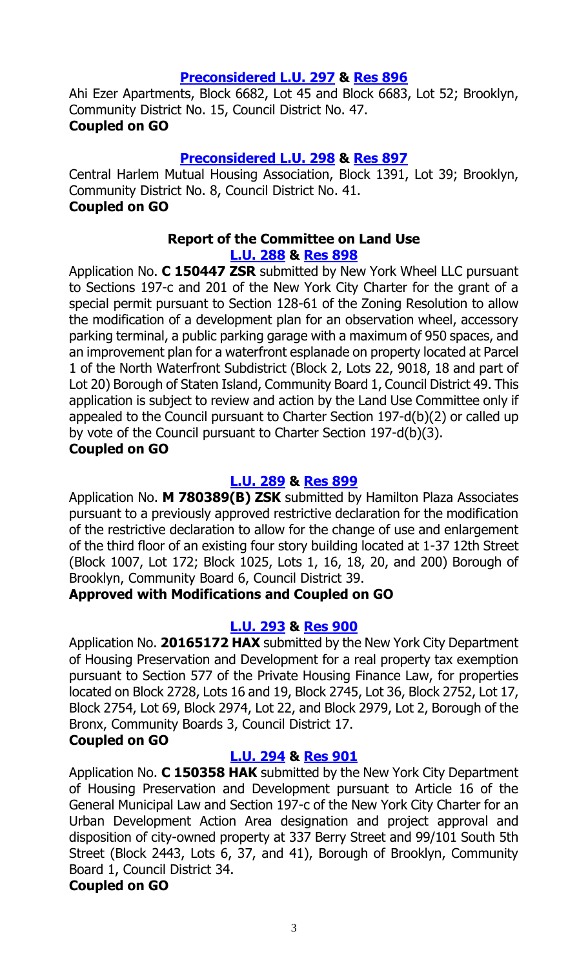# **[Preconsidered L.U.](http://legistar.council.nyc.gov/LegislationDetail.aspx?ID=2501856&GUID=9AC31C84-2C5E-4272-BACF-C3B11FCAE245&Options=ID|&Search=) 297 & [Res 896](http://legistar.council.nyc.gov/LegislationDetail.aspx?ID=2506175&GUID=4C3C0EB4-8C93-41F5-BCF0-C889FBC39A39&Options=ID|&Search=)**

Ahi Ezer Apartments, Block 6682, Lot 45 and Block 6683, Lot 52; Brooklyn, Community District No. 15, Council District No. 47. **Coupled on GO**

#### **[Preconsidered L.U.](http://legistar.council.nyc.gov/LegislationDetail.aspx?ID=2503000&GUID=2EE4309E-0DDB-42DA-BACA-72FFEC75EB85&Options=ID%7c&Search=) 298 & [Res 897](http://legistar.council.nyc.gov/LegislationDetail.aspx?ID=2506177&GUID=6A4256E0-1F15-44E8-BD44-B26D8DD591A2&Options=ID|&Search=)**

Central Harlem Mutual Housing Association, Block 1391, Lot 39; Brooklyn, Community District No. 8, Council District No. 41. **Coupled on GO**

#### **Report of the Committee on Land Use [L.U. 288](http://legistar.council.nyc.gov/LegislationDetail.aspx?ID=2484756&GUID=41AD24B4-227E-43D8-97B6-B483F29C6E25&Options=ID%7c&Search=) & [Res](http://legistar.council.nyc.gov/LegislationDetail.aspx?ID=2501816&GUID=BBAE9DF2-7E31-49B3-AAEC-378CB4583EA0&Options=ID|&Search=) 898**

Application No. **C 150447 ZSR** submitted by New York Wheel LLC pursuant to Sections 197-c and 201 of the New York City Charter for the grant of a special permit pursuant to Section 128-61 of the Zoning Resolution to allow the modification of a development plan for an observation wheel, accessory parking terminal, a public parking garage with a maximum of 950 spaces, and an improvement plan for a waterfront esplanade on property located at Parcel 1 of the North Waterfront Subdistrict (Block 2, Lots 22, 9018, 18 and part of Lot 20) Borough of Staten Island, Community Board 1, Council District 49. This application is subject to review and action by the Land Use Committee only if appealed to the Council pursuant to Charter Section 197-d(b)(2) or called up by vote of the Council pursuant to Charter Section 197-d(b)(3).

#### **Coupled on GO**

#### **[L.U. 289](http://legistar.council.nyc.gov/LegislationDetail.aspx?ID=2484758&GUID=3B05C90B-F462-458E-A9DA-3920C93535AF&Options=ID|&Search=) & [Res](http://legistar.council.nyc.gov/LegislationDetail.aspx?ID=2501817&GUID=3F906F5A-C20B-455E-AF80-2CF31501BC1E&Options=ID|&Search=) 899**

Application No. **M 780389(B) ZSK** submitted by Hamilton Plaza Associates pursuant to a previously approved restrictive declaration for the modification of the restrictive declaration to allow for the change of use and enlargement of the third floor of an existing four story building located at 1-37 12th Street (Block 1007, Lot 172; Block 1025, Lots 1, 16, 18, 20, and 200) Borough of Brooklyn, Community Board 6, Council District 39.

# **Approved with Modifications and Coupled on GO**

# **[L.U. 293](http://legistar.council.nyc.gov/LegislationDetail.aspx?ID=2484762&GUID=9F332339-D228-4F2E-9199-33BFAB0ACED8&Options=ID|&Search=) & [Res](http://legistar.council.nyc.gov/LegislationDetail.aspx?ID=2501818&GUID=54A94E56-D43D-4061-BE6B-39B09321137E&Options=ID|&Search=) 900**

Application No. **20165172 HAX** submitted by the New York City Department of Housing Preservation and Development for a real property tax exemption pursuant to Section 577 of the Private Housing Finance Law, for properties located on Block 2728, Lots 16 and 19, Block 2745, Lot 36, Block 2752, Lot 17, Block 2754, Lot 69, Block 2974, Lot 22, and Block 2979, Lot 2, Borough of the Bronx, Community Boards 3, Council District 17.

# **Coupled on GO**

# **[L.U. 294](http://legistar.council.nyc.gov/LegislationDetail.aspx?ID=2484763&GUID=98E667B0-6BE2-48A9-94B5-68E4D6F9E4FF&Options=ID|&Search=) & [Res](http://legistar.council.nyc.gov/LegislationDetail.aspx?ID=2501819&GUID=73BFC2D5-4554-4B63-BB44-6B1522987583&Options=ID%7c&Search=) 901**

Application No. **C 150358 HAK** submitted by the New York City Department of Housing Preservation and Development pursuant to Article 16 of the General Municipal Law and Section 197-c of the New York City Charter for an Urban Development Action Area designation and project approval and disposition of city-owned property at 337 Berry Street and 99/101 South 5th Street (Block 2443, Lots 6, 37, and 41), Borough of Brooklyn, Community Board 1, Council District 34.

# **Coupled on GO**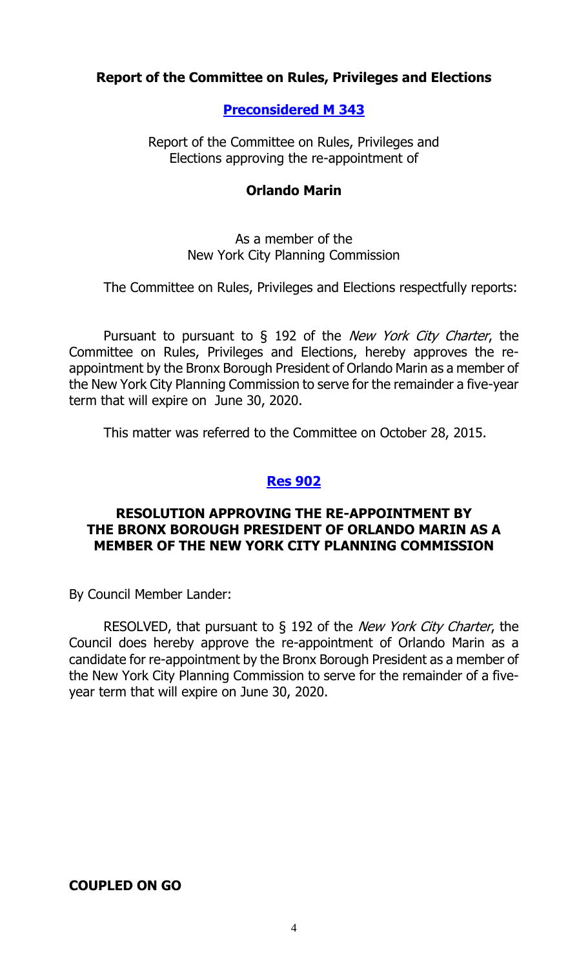# **Report of the Committee on Rules, Privileges and Elections**

# **[Preconsidered M](http://legistar.council.nyc.gov/LegislationDetail.aspx?ID=2499615&GUID=2BE086D9-DD69-4ADA-861C-1D3FA6896C6F&Options=ID|&Search=) 343**

Report of the Committee on Rules, Privileges and Elections approving the re-appointment of

#### **Orlando Marin**

#### As a member of the New York City Planning Commission

The Committee on Rules, Privileges and Elections respectfully reports:

Pursuant to pursuant to § 192 of the *New York City Charter*, the Committee on Rules, Privileges and Elections, hereby approves the reappointment by the Bronx Borough President of Orlando Marin as a member of the New York City Planning Commission to serve for the remainder a five-year term that will expire on June 30, 2020.

This matter was referred to the Committee on October 28, 2015.

#### **Res [902](http://legistar.council.nyc.gov/LegislationDetail.aspx?ID=2506170&GUID=EB25831F-E347-4E28-8583-D18F0E292BEF&Options=ID|&Search=)**

# **RESOLUTION APPROVING THE RE-APPOINTMENT BY THE BRONX BOROUGH PRESIDENT OF ORLANDO MARIN AS A MEMBER OF THE NEW YORK CITY PLANNING COMMISSION**

By Council Member Lander:

RESOLVED, that pursuant to  $\S$  192 of the *New York City Charter*, the Council does hereby approve the re-appointment of Orlando Marin as a candidate for re-appointment by the Bronx Borough President as a member of the New York City Planning Commission to serve for the remainder of a fiveyear term that will expire on June 30, 2020.

# **COUPLED ON GO**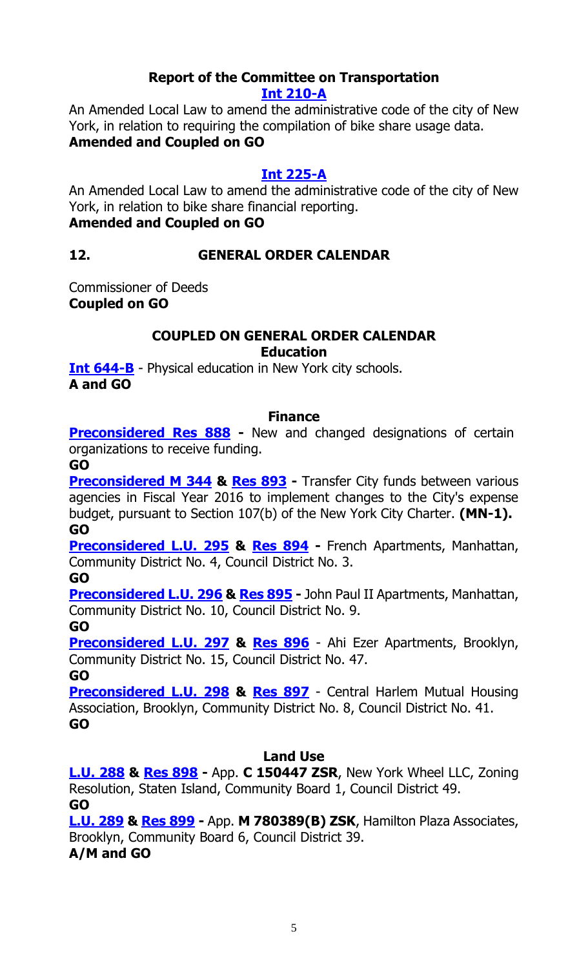#### **Report of the Committee on Transportation [Int 210-A](http://legistar.council.nyc.gov/LegislationDetail.aspx?ID=1687959&GUID=3FF09CCF-9E91-42C9-BC7E-FF1424902BB5&Options=ID|&Search=0210)**

An Amended Local Law to amend the administrative code of the city of New York, in relation to requiring the compilation of bike share usage data. **Amended and Coupled on GO**

# **[Int 225-A](http://legistar.council.nyc.gov/LegislationDetail.aspx?ID=1687997&GUID=ED49B9D3-043B-451C-A46C-C907DD1343A3&Options=ID|&Search=0225)**

An Amended Local Law to amend the administrative code of the city of New York, in relation to bike share financial reporting. **Amended and Coupled on GO**

# **12. GENERAL ORDER CALENDAR**

Commissioner of Deeds **Coupled on GO**

# **COUPLED ON GENERAL ORDER CALENDAR Education**

**[Int 644-B](http://legistar.council.nyc.gov/LegislationDetail.aspx?ID=2170477&GUID=2682A7A6-EE35-49F7-947A-4DC6FC69B2E2&Options=ID%7cText%7c&Search=0644)** - Physical education in New York city schools. **A and GO**

# **Finance**

**[Preconsidered Res](http://legistar.council.nyc.gov/LegislationDetail.aspx?ID=2501853&GUID=7ABF3059-006C-483B-9A75-A7BAB17E126C&Options=ID%7c&Search=) 888 -** New and changed designations of certain organizations to receive funding.

**GO**

**[Preconsidered M](http://legistar.council.nyc.gov/LegislationDetail.aspx?ID=2503839&GUID=03691933-B0A5-4FF5-894B-3BAEBD329231&Options=ID%7c&Search=) 344 & [Res 893](http://legistar.council.nyc.gov/LegislationDetail.aspx?ID=2506178&GUID=DC492558-C333-4948-BB5C-8B012747513E&Options=ID|&Search=) -** Transfer City funds between various agencies in Fiscal Year 2016 to implement changes to the City's expense budget, pursuant to Section 107(b) of the New York City Charter. **(MN-1). GO**

**[Preconsidered L.U.](http://legistar.council.nyc.gov/LegislationDetail.aspx?ID=2501854&GUID=109C3ABE-3D11-44C2-B0A1-C278C603EA65&Options=ID|&Search=) 295 & [Res 894](http://legistar.council.nyc.gov/LegislationDetail.aspx?ID=2506173&GUID=7D6C122E-AC64-41BE-A7A8-7429F5F0E25D&Options=ID|&Search=) -** French Apartments, Manhattan, Community District No. 4, Council District No. 3.

**GO**

**[Preconsidered L.U.](http://legistar.council.nyc.gov/LegislationDetail.aspx?ID=2501855&GUID=DEE17A7E-4CD6-4990-9239-10A33F45A356&Options=ID|&Search=) 296 & [Res 895](http://legistar.council.nyc.gov/LegislationDetail.aspx?ID=2506174&GUID=C8BE521B-3459-4A06-A3F3-64E594C365F4&Options=ID|&Search=) -** John Paul II Apartments, Manhattan, Community District No. 10, Council District No. 9. **GO**

**[Preconsidered L.U.](http://legistar.council.nyc.gov/LegislationDetail.aspx?ID=2501856&GUID=9AC31C84-2C5E-4272-BACF-C3B11FCAE245&Options=ID|&Search=) 297 & [Res 896](http://legistar.council.nyc.gov/LegislationDetail.aspx?ID=2506175&GUID=4C3C0EB4-8C93-41F5-BCF0-C889FBC39A39&Options=ID|&Search=)** - Ahi Ezer Apartments, Brooklyn, Community District No. 15, Council District No. 47.

**GO**

**[Preconsidered L.U.](http://legistar.council.nyc.gov/LegislationDetail.aspx?ID=2503000&GUID=2EE4309E-0DDB-42DA-BACA-72FFEC75EB85&Options=ID%7c&Search=) 298 & [Res 897](http://legistar.council.nyc.gov/LegislationDetail.aspx?ID=2506177&GUID=6A4256E0-1F15-44E8-BD44-B26D8DD591A2&Options=ID|&Search=)** - Central Harlem Mutual Housing Association, Brooklyn, Community District No. 8, Council District No. 41. **GO**

# **Land Use**

**[L.U. 288](http://legistar.council.nyc.gov/LegislationDetail.aspx?ID=2484756&GUID=41AD24B4-227E-43D8-97B6-B483F29C6E25&Options=ID%7c&Search=) & [Res](http://legistar.council.nyc.gov/LegislationDetail.aspx?ID=2501816&GUID=BBAE9DF2-7E31-49B3-AAEC-378CB4583EA0&Options=ID|&Search=) 898 -** App. **C 150447 ZSR**, New York Wheel LLC, Zoning Resolution, Staten Island, Community Board 1, Council District 49. **GO**

**[L.U. 289](http://legistar.council.nyc.gov/LegislationDetail.aspx?ID=2484758&GUID=3B05C90B-F462-458E-A9DA-3920C93535AF&Options=ID|&Search=) & [Res](http://legistar.council.nyc.gov/LegislationDetail.aspx?ID=2501817&GUID=3F906F5A-C20B-455E-AF80-2CF31501BC1E&Options=ID|&Search=) 899 -** App. **M 780389(B) ZSK**, Hamilton Plaza Associates, Brooklyn, Community Board 6, Council District 39.

**A/M and GO**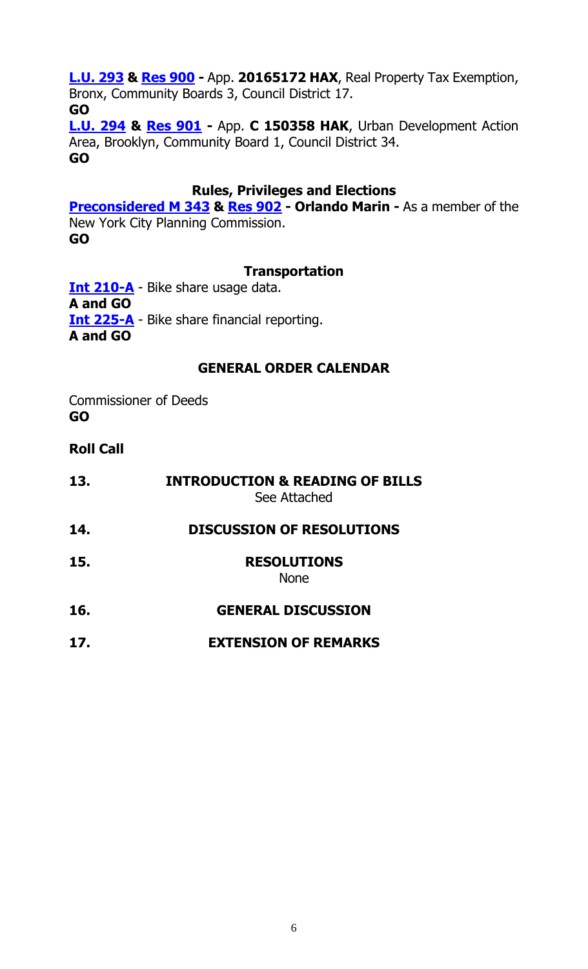# **[L.U. 293](http://legistar.council.nyc.gov/LegislationDetail.aspx?ID=2484762&GUID=9F332339-D228-4F2E-9199-33BFAB0ACED8&Options=ID|&Search=) & [Res](http://legistar.council.nyc.gov/LegislationDetail.aspx?ID=2501818&GUID=54A94E56-D43D-4061-BE6B-39B09321137E&Options=ID|&Search=) 900 -** App. **20165172 HAX**, Real Property Tax Exemption, Bronx, Community Boards 3, Council District 17.

**GO [L.U. 294](http://legistar.council.nyc.gov/LegislationDetail.aspx?ID=2484763&GUID=98E667B0-6BE2-48A9-94B5-68E4D6F9E4FF&Options=ID|&Search=) & [Res](http://legistar.council.nyc.gov/LegislationDetail.aspx?ID=2501819&GUID=73BFC2D5-4554-4B63-BB44-6B1522987583&Options=ID%7c&Search=) 901 -** App. **C 150358 HAK**, Urban Development Action Area, Brooklyn, Community Board 1, Council District 34. **GO**

# **Rules, Privileges and Elections**

**[Preconsidered M](http://legistar.council.nyc.gov/LegislationDetail.aspx?ID=2499615&GUID=2BE086D9-DD69-4ADA-861C-1D3FA6896C6F&Options=ID|&Search=) 343 & [Res 902](http://legistar.council.nyc.gov/LegislationDetail.aspx?ID=2506170&GUID=EB25831F-E347-4E28-8583-D18F0E292BEF&Options=ID|&Search=) - Orlando Marin -** As a member of the New York City Planning Commission.

**GO**

# **Transportation**

**[Int 210-A](http://legistar.council.nyc.gov/LegislationDetail.aspx?ID=1687959&GUID=3FF09CCF-9E91-42C9-BC7E-FF1424902BB5&Options=ID|&Search=0210)** - Bike share usage data. **A and GO [Int 225-A](http://legistar.council.nyc.gov/LegislationDetail.aspx?ID=1687997&GUID=ED49B9D3-043B-451C-A46C-C907DD1343A3&Options=ID|&Search=0225)** - Bike share financial reporting. **A and GO**

# **GENERAL ORDER CALENDAR**

Commissioner of Deeds **GO**

# **Roll Call**

**13. INTRODUCTION & READING OF BILLS** See Attached **14. DISCUSSION OF RESOLUTIONS 15. RESOLUTIONS** None

# **16. GENERAL DISCUSSION**

# **17. EXTENSION OF REMARKS**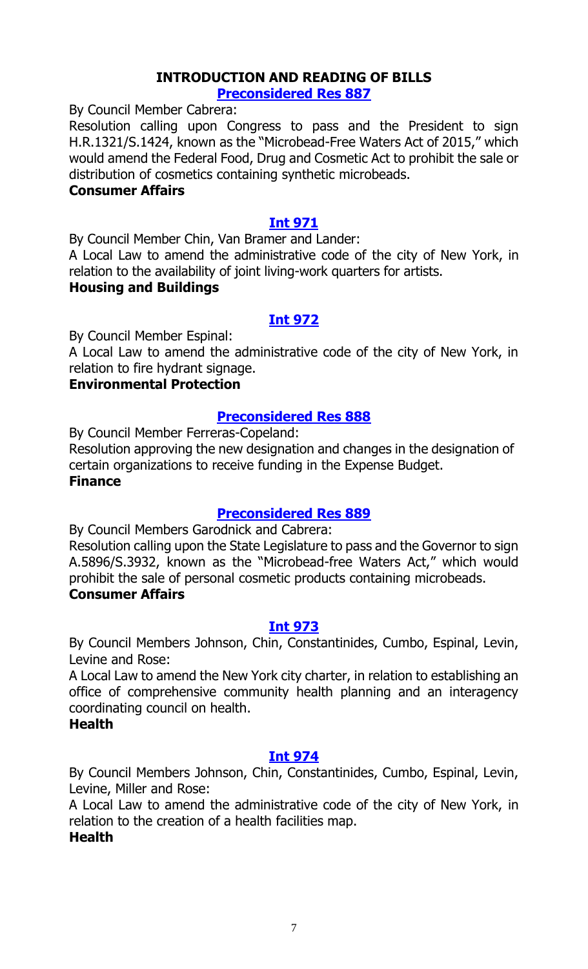#### **INTRODUCTION AND READING OF BILLS [Preconsidered Res 887](http://legistar.council.nyc.gov/LegislationDetail.aspx?ID=2503008&GUID=385D0BD5-4E2C-43B0-B686-E1875E95234D&Options=ID|&Search=)**

By Council Member Cabrera:

Resolution calling upon Congress to pass and the President to sign H.R.1321/S.1424, known as the "Microbead-Free Waters Act of 2015," which would amend the Federal Food, Drug and Cosmetic Act to prohibit the sale or distribution of cosmetics containing synthetic microbeads.

#### **Consumer Affairs**

#### **[Int 971](http://legistar.council.nyc.gov/LegislationDetail.aspx?ID=2505964&GUID=59E14F5E-1AFA-40B7-9A96-8FDD8169BE63&Options=ID|&Search=)**

By Council Member Chin, Van Bramer and Lander:

A Local Law to amend the administrative code of the city of New York, in relation to the availability of joint living-work quarters for artists.

#### **Housing and Buildings**

#### **[Int 972](http://legistar.council.nyc.gov/LegislationDetail.aspx?ID=2505965&GUID=7E042837-408C-4B84-95F8-04AD796A1F33&Options=ID|&Search=)**

By Council Member Espinal:

A Local Law to amend the administrative code of the city of New York, in relation to fire hydrant signage.

#### **Environmental Protection**

#### **[Preconsidered Res 888](http://legistar.council.nyc.gov/LegislationDetail.aspx?ID=2501853&GUID=7ABF3059-006C-483B-9A75-A7BAB17E126C&Options=ID%7c&Search=)**

By Council Member Ferreras-Copeland:

Resolution approving the new designation and changes in the designation of certain organizations to receive funding in the Expense Budget.

# **Finance**

# **[Preconsidered Res 889](http://legistar.council.nyc.gov/LegislationDetail.aspx?ID=2486169&GUID=9EA0B897-0EC2-4845-91E4-EEA20ABF223E&Options=ID|&Search=)**

By Council Members Garodnick and Cabrera:

Resolution calling upon the State Legislature to pass and the Governor to sign A.5896/S.3932, known as the "Microbead-free Waters Act," which would prohibit the sale of personal cosmetic products containing microbeads.

#### **Consumer Affairs**

#### **[Int 973](http://legistar.council.nyc.gov/LegislationDetail.aspx?ID=2505962&GUID=59303331-E18F-4637-8461-F95D78A549B5&Options=ID|&Search=)**

By Council Members Johnson, Chin, Constantinides, Cumbo, Espinal, Levin, Levine and Rose:

A Local Law to amend the New York city charter, in relation to establishing an office of comprehensive community health planning and an interagency coordinating council on health.

#### **Health**

#### **[Int 974](http://legistar.council.nyc.gov/LegislationDetail.aspx?ID=2505963&GUID=41944EB3-8FD1-4140-BCF1-16CEC8D42B62&Options=ID|&Search=)**

By Council Members Johnson, Chin, Constantinides, Cumbo, Espinal, Levin, Levine, Miller and Rose:

A Local Law to amend the administrative code of the city of New York, in relation to the creation of a health facilities map.

#### **Health**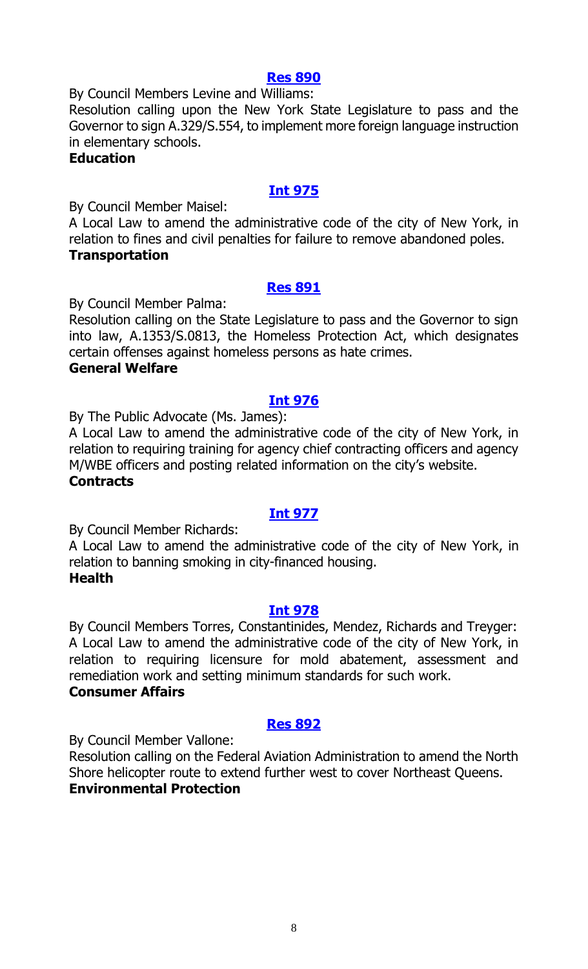#### **[Res 890](http://legistar.council.nyc.gov/LegislationDetail.aspx?ID=2506179&GUID=E8CEFB09-6355-4EB2-A0AA-DAAB16217519&Options=ID%7c&Search=)**

By Council Members Levine and Williams:

Resolution calling upon the New York State Legislature to pass and the Governor to sign A.329/S.554, to implement more foreign language instruction in elementary schools.

#### **Education**

# **[Int 975](http://legistar.council.nyc.gov/LegislationDetail.aspx?ID=2505961&GUID=3681BF40-CEBC-45B2-84DD-BF8D2D612D42&Options=ID|&Search=)**

By Council Member Maisel:

A Local Law to amend the administrative code of the city of New York, in relation to fines and civil penalties for failure to remove abandoned poles. **Transportation**

#### **[Res 891](http://legistar.council.nyc.gov/LegislationDetail.aspx?ID=2506151&GUID=9F61EBE5-45A4-4C94-87E3-D7B32F08EB80&Options=ID|&Search=)**

By Council Member Palma:

Resolution calling on the State Legislature to pass and the Governor to sign into law, A.1353/S.0813, the Homeless Protection Act, which designates certain offenses against homeless persons as hate crimes.

# **General Welfare**

#### **[Int 976](http://legistar.council.nyc.gov/LegislationDetail.aspx?ID=2505967&GUID=BA786596-D0F1-4694-B2D1-C75236BA7393&Options=ID|&Search=)**

By The Public Advocate (Ms. James):

A Local Law to amend the administrative code of the city of New York, in relation to requiring training for agency chief contracting officers and agency M/WBE officers and posting related information on the city's website.

# **Contracts**

# **[Int 977](http://legistar.council.nyc.gov/LegislationDetail.aspx?ID=2505960&GUID=7619A76A-C0CA-4D3F-973F-DDECE444A441&Options=ID|&Search=)**

By Council Member Richards:

A Local Law to amend the administrative code of the city of New York, in relation to banning smoking in city-financed housing. **Health**

#### **[Int 978](http://legistar.council.nyc.gov/LegislationDetail.aspx?ID=2505966&GUID=93D962FB-F0AB-440F-A552-DF89A63AA815&Options=ID|&Search=)**

By Council Members Torres, Constantinides, Mendez, Richards and Treyger: A Local Law to amend the administrative code of the city of New York, in relation to requiring licensure for mold abatement, assessment and remediation work and setting minimum standards for such work.

# **Consumer Affairs**

# **[Res 892](http://legistar.council.nyc.gov/LegislationDetail.aspx?ID=2506176&GUID=EF6721E3-E669-4E97-BBCE-ADBEF3D0811D&Options=ID|&Search=)**

By Council Member Vallone:

Resolution calling on the Federal Aviation Administration to amend the North Shore helicopter route to extend further west to cover Northeast Queens. **Environmental Protection**